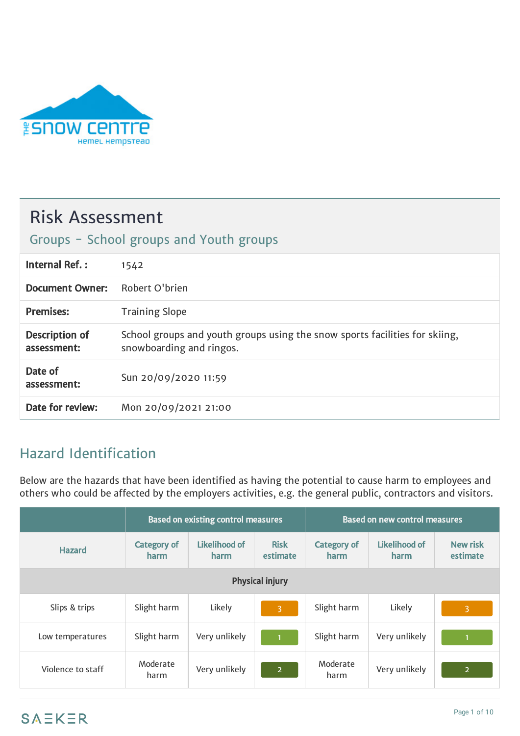

# Risk Assessment

## Groups - School groups and Youth groups

| Internal Ref.:                | 1542                                                                                                    |
|-------------------------------|---------------------------------------------------------------------------------------------------------|
| <b>Document Owner:</b>        | Robert O'brien                                                                                          |
| <b>Premises:</b>              | <b>Training Slope</b>                                                                                   |
| Description of<br>assessment: | School groups and youth groups using the snow sports facilities for skiing,<br>snowboarding and ringos. |
| Date of<br>assessment:        | Sun 20/09/2020 11:59                                                                                    |
| Date for review:              | Mon 20/09/2021 21:00                                                                                    |

## Hazard Identification

Below are the hazards that have been identified as having the potential to cause harm to employees and others who could be affected by the employers activities, e.g. the general public, contractors and visitors.

|                        | <b>Based on existing control measures</b> |                       |                         | <b>Based on new control measures</b> |                       |                             |
|------------------------|-------------------------------------------|-----------------------|-------------------------|--------------------------------------|-----------------------|-----------------------------|
| <b>Hazard</b>          | <b>Category of</b><br>harm                | Likelihood of<br>harm | <b>Risk</b><br>estimate | <b>Category of</b><br>harm           | Likelihood of<br>harm | <b>New risk</b><br>estimate |
| <b>Physical injury</b> |                                           |                       |                         |                                      |                       |                             |
| Slips & trips          | Slight harm                               | Likely                | $\overline{3}$          | Slight harm                          | Likely                | $\overline{3}$              |
| Low temperatures       | Slight harm                               | Very unlikely         |                         | Slight harm                          | Very unlikely         |                             |
| Violence to staff      | Moderate<br>harm                          | Very unlikely         | 2 <sup>1</sup>          | Moderate<br>harm                     | Very unlikely         | 2 <sup>1</sup>              |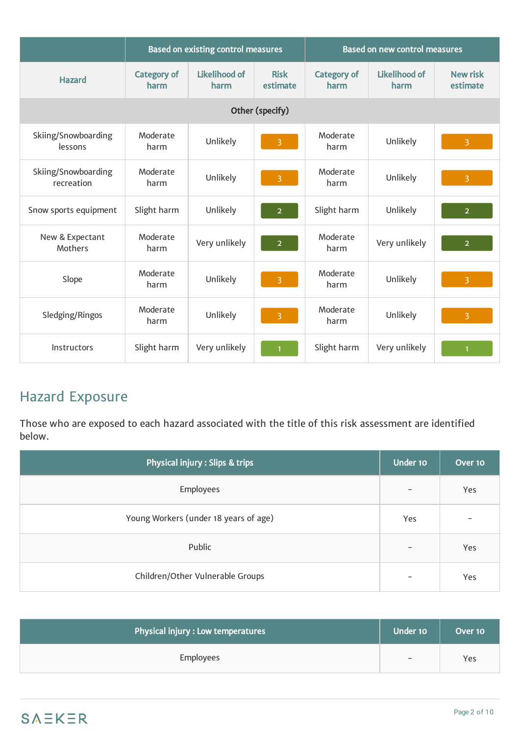|                                   | <b>Based on existing control measures</b> |                              |                         | <b>Based on new control measures</b> |                              |                             |
|-----------------------------------|-------------------------------------------|------------------------------|-------------------------|--------------------------------------|------------------------------|-----------------------------|
| <b>Hazard</b>                     | <b>Category of</b><br>harm                | <b>Likelihood of</b><br>harm | <b>Risk</b><br>estimate | <b>Category of</b><br>harm           | <b>Likelihood of</b><br>harm | <b>New risk</b><br>estimate |
|                                   |                                           |                              | Other (specify)         |                                      |                              |                             |
| Skiing/Snowboarding<br>lessons    | Moderate<br>harm                          | Unlikely                     | $\overline{3}$          | Moderate<br>harm                     | Unlikely                     | $\overline{3}$              |
| Skiing/Snowboarding<br>recreation | Moderate<br>harm                          | Unlikely                     | $\overline{\mathbf{3}}$ | Moderate<br>harm                     | Unlikely                     | $\overline{3}$              |
| Snow sports equipment             | Slight harm                               | Unlikely                     | $\overline{2}$          | Slight harm                          | Unlikely                     | 2 <sup>1</sup>              |
| New & Expectant<br><b>Mothers</b> | Moderate<br>harm                          | Very unlikely                | $\overline{2}$          | Moderate<br>harm                     | Very unlikely                | 2 <sup>1</sup>              |
| Slope                             | Moderate<br>harm                          | Unlikely                     | $\overline{3}$          | Moderate<br>harm                     | Unlikely                     | $\overline{3}$              |
| Sledging/Ringos                   | Moderate<br>harm                          | Unlikely                     | 3                       | Moderate<br>harm                     | Unlikely                     | $\overline{3}$              |
| Instructors                       | Slight harm                               | Very unlikely                |                         | Slight harm                          | Very unlikely                |                             |

## Hazard Exposure

Those who are exposed to each hazard associated with the title of this risk assessment are identified below.

| Physical injury : Slips & trips       | Under 10          | Over 10                  |
|---------------------------------------|-------------------|--------------------------|
| Employees                             | $\qquad \qquad$   | Yes                      |
| Young Workers (under 18 years of age) | Yes               | $\overline{\phantom{0}}$ |
| Public                                | $\qquad \qquad -$ | Yes                      |
| Children/Other Vulnerable Groups      | $\qquad \qquad$   | Yes                      |

| Physical injury : Low temperatures | Under 10                 | Over 10 |
|------------------------------------|--------------------------|---------|
| <b>Employees</b>                   | $\overline{\phantom{m}}$ | Yes     |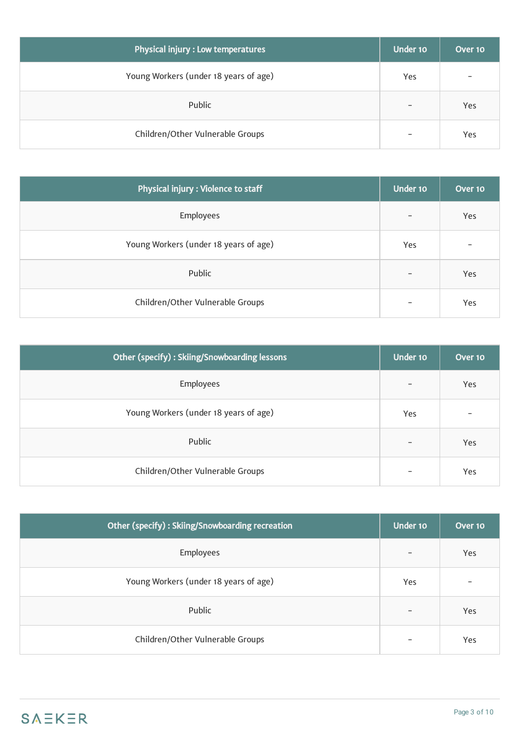| Physical injury : Low temperatures    | Under 10                 | Over 10 |
|---------------------------------------|--------------------------|---------|
| Young Workers (under 18 years of age) | Yes                      |         |
| Public                                | $\overline{\phantom{a}}$ | Yes     |
| Children/Other Vulnerable Groups      | $\overline{\phantom{a}}$ | Yes     |

| Physical injury : Violence to staff   | Under 10                 | Over $101$ |
|---------------------------------------|--------------------------|------------|
| Employees                             | $\overline{\phantom{a}}$ | Yes        |
| Young Workers (under 18 years of age) | Yes                      |            |
| Public                                | $\overline{\phantom{a}}$ | Yes        |
| Children/Other Vulnerable Groups      | $\overline{\phantom{0}}$ | Yes        |

| Other (specify): Skiing/Snowboarding lessons | Under 10                 | Over 10 |
|----------------------------------------------|--------------------------|---------|
| Employees                                    | $\overline{\phantom{m}}$ | Yes     |
| Young Workers (under 18 years of age)        | Yes                      |         |
| Public                                       | $\overline{\phantom{a}}$ | Yes     |
| Children/Other Vulnerable Groups             | $\overline{\phantom{0}}$ | Yes     |

| Other (specify): Skiing/Snowboarding recreation | Under 10                 | Over 10 |
|-------------------------------------------------|--------------------------|---------|
| <b>Employees</b>                                | $\qquad \qquad$          | Yes     |
| Young Workers (under 18 years of age)           | Yes                      | -       |
| Public                                          | $\overline{\phantom{a}}$ | Yes     |
| Children/Other Vulnerable Groups                | $\overline{\phantom{m}}$ | Yes     |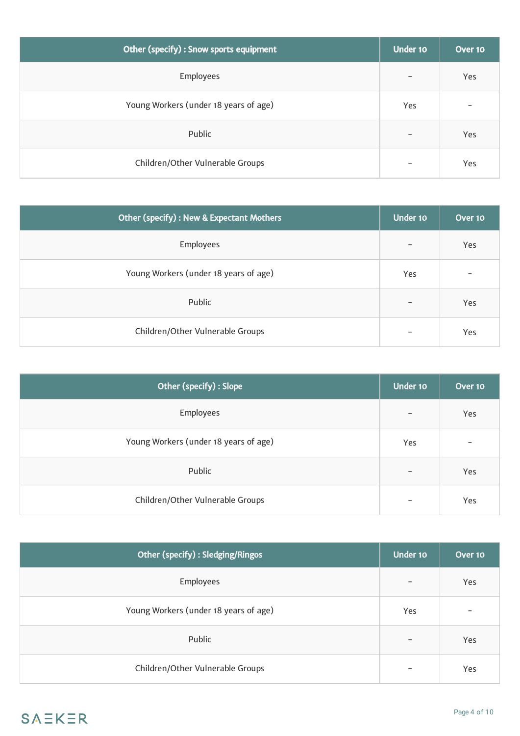| Other (specify) : Snow sports equipment | Under 10                 | Over 10 |
|-----------------------------------------|--------------------------|---------|
| <b>Employees</b>                        | $\qquad \qquad -$        | Yes     |
| Young Workers (under 18 years of age)   | Yes                      | -       |
| Public                                  | $\overline{\phantom{0}}$ | Yes     |
| Children/Other Vulnerable Groups        | $\qquad \qquad$          | Yes     |

| <b>Other (specify): New &amp; Expectant Mothers</b> | Under 10                 | Over 10 |
|-----------------------------------------------------|--------------------------|---------|
| <b>Employees</b>                                    | $\overline{\phantom{a}}$ | Yes     |
| Young Workers (under 18 years of age)               | Yes                      |         |
| Public                                              | $\overline{\phantom{0}}$ | Yes     |
| Children/Other Vulnerable Groups                    |                          | Yes     |

| Other (specify) : Slope               | Under 10                 | Over 10 |
|---------------------------------------|--------------------------|---------|
| Employees                             | $\overline{\phantom{a}}$ | Yes     |
| Young Workers (under 18 years of age) | Yes                      |         |
| Public                                | $\overline{\phantom{a}}$ | Yes     |
| Children/Other Vulnerable Groups      | $\overline{\phantom{a}}$ | Yes     |

| Other (specify) : Sledging/Ringos     | Under 10 | Over 10                  |
|---------------------------------------|----------|--------------------------|
| <b>Employees</b>                      |          | Yes                      |
| Young Workers (under 18 years of age) | Yes      | $\overline{\phantom{0}}$ |
| Public                                |          | Yes                      |
| Children/Other Vulnerable Groups      |          | Yes                      |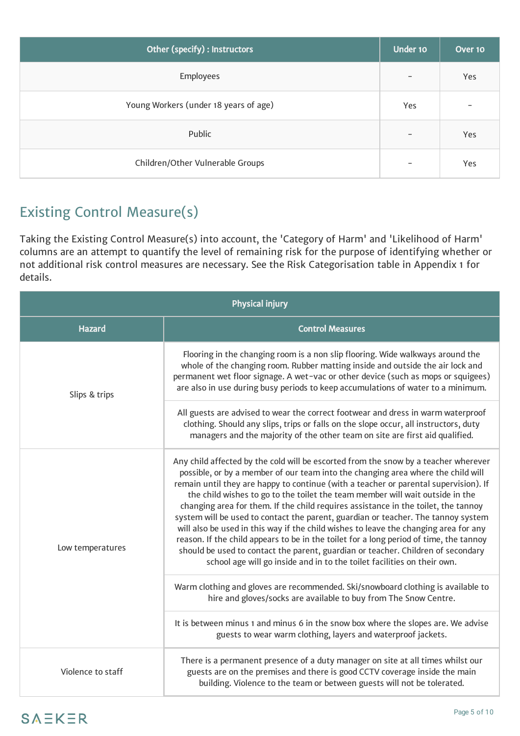| Other (specify) : Instructors         |                          | Over 10                  |
|---------------------------------------|--------------------------|--------------------------|
| Employees                             | $\qquad \qquad -$        | Yes                      |
| Young Workers (under 18 years of age) | Yes                      | $\overline{\phantom{0}}$ |
| Public                                | $\overline{\phantom{0}}$ | Yes                      |
| Children/Other Vulnerable Groups      | $\qquad \qquad$          | Yes                      |

# Existing Control Measure(s)

Taking the Existing Control Measure(s) into account, the 'Category of Harm' and 'Likelihood of Harm' columns are an attempt to quantify the level of remaining risk for the purpose of identifying whether or not additional risk control measures are necessary. See the Risk Categorisation table in Appendix 1 for details.

| <b>Physical injury</b> |                                                                                                                                                                                                                                                                                                                                                                                                                                                                                                                                                                                                                                                                                                                                                                                                                                                                              |  |  |
|------------------------|------------------------------------------------------------------------------------------------------------------------------------------------------------------------------------------------------------------------------------------------------------------------------------------------------------------------------------------------------------------------------------------------------------------------------------------------------------------------------------------------------------------------------------------------------------------------------------------------------------------------------------------------------------------------------------------------------------------------------------------------------------------------------------------------------------------------------------------------------------------------------|--|--|
| <b>Hazard</b>          | <b>Control Measures</b>                                                                                                                                                                                                                                                                                                                                                                                                                                                                                                                                                                                                                                                                                                                                                                                                                                                      |  |  |
| Slips & trips          | Flooring in the changing room is a non slip flooring. Wide walkways around the<br>whole of the changing room. Rubber matting inside and outside the air lock and<br>permanent wet floor signage. A wet-vac or other device (such as mops or squigees)<br>are also in use during busy periods to keep accumulations of water to a minimum.                                                                                                                                                                                                                                                                                                                                                                                                                                                                                                                                    |  |  |
|                        | All guests are advised to wear the correct footwear and dress in warm waterproof<br>clothing. Should any slips, trips or falls on the slope occur, all instructors, duty<br>managers and the majority of the other team on site are first aid qualified.                                                                                                                                                                                                                                                                                                                                                                                                                                                                                                                                                                                                                     |  |  |
| Low temperatures       | Any child affected by the cold will be escorted from the snow by a teacher wherever<br>possible, or by a member of our team into the changing area where the child will<br>remain until they are happy to continue (with a teacher or parental supervision). If<br>the child wishes to go to the toilet the team member will wait outside in the<br>changing area for them. If the child requires assistance in the toilet, the tannoy<br>system will be used to contact the parent, guardian or teacher. The tannoy system<br>will also be used in this way if the child wishes to leave the changing area for any<br>reason. If the child appears to be in the toilet for a long period of time, the tannoy<br>should be used to contact the parent, guardian or teacher. Children of secondary<br>school age will go inside and in to the toilet facilities on their own. |  |  |
|                        | Warm clothing and gloves are recommended. Ski/snowboard clothing is available to<br>hire and gloves/socks are available to buy from The Snow Centre.                                                                                                                                                                                                                                                                                                                                                                                                                                                                                                                                                                                                                                                                                                                         |  |  |
|                        | It is between minus 1 and minus 6 in the snow box where the slopes are. We advise<br>guests to wear warm clothing, layers and waterproof jackets.                                                                                                                                                                                                                                                                                                                                                                                                                                                                                                                                                                                                                                                                                                                            |  |  |
| Violence to staff      | There is a permanent presence of a duty manager on site at all times whilst our<br>guests are on the premises and there is good CCTV coverage inside the main<br>building. Violence to the team or between guests will not be tolerated.                                                                                                                                                                                                                                                                                                                                                                                                                                                                                                                                                                                                                                     |  |  |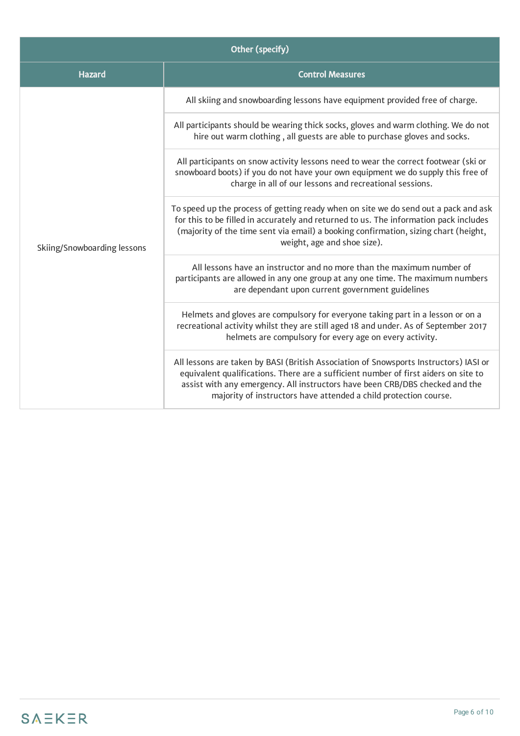| Other (specify)             |                                                                                                                                                                                                                                                                                                                                  |  |  |
|-----------------------------|----------------------------------------------------------------------------------------------------------------------------------------------------------------------------------------------------------------------------------------------------------------------------------------------------------------------------------|--|--|
| <b>Hazard</b>               | <b>Control Measures</b>                                                                                                                                                                                                                                                                                                          |  |  |
| Skiing/Snowboarding lessons | All skiing and snowboarding lessons have equipment provided free of charge.                                                                                                                                                                                                                                                      |  |  |
|                             | All participants should be wearing thick socks, gloves and warm clothing. We do not<br>hire out warm clothing, all guests are able to purchase gloves and socks.                                                                                                                                                                 |  |  |
|                             | All participants on snow activity lessons need to wear the correct footwear (ski or<br>snowboard boots) if you do not have your own equipment we do supply this free of<br>charge in all of our lessons and recreational sessions.                                                                                               |  |  |
|                             | To speed up the process of getting ready when on site we do send out a pack and ask<br>for this to be filled in accurately and returned to us. The information pack includes<br>(majority of the time sent via email) a booking confirmation, sizing chart (height,<br>weight, age and shoe size).                               |  |  |
|                             | All lessons have an instructor and no more than the maximum number of<br>participants are allowed in any one group at any one time. The maximum numbers<br>are dependant upon current government guidelines                                                                                                                      |  |  |
|                             | Helmets and gloves are compulsory for everyone taking part in a lesson or on a<br>recreational activity whilst they are still aged 18 and under. As of September 2017<br>helmets are compulsory for every age on every activity.                                                                                                 |  |  |
|                             | All lessons are taken by BASI (British Association of Snowsports Instructors) IASI or<br>equivalent qualifications. There are a sufficient number of first aiders on site to<br>assist with any emergency. All instructors have been CRB/DBS checked and the<br>majority of instructors have attended a child protection course. |  |  |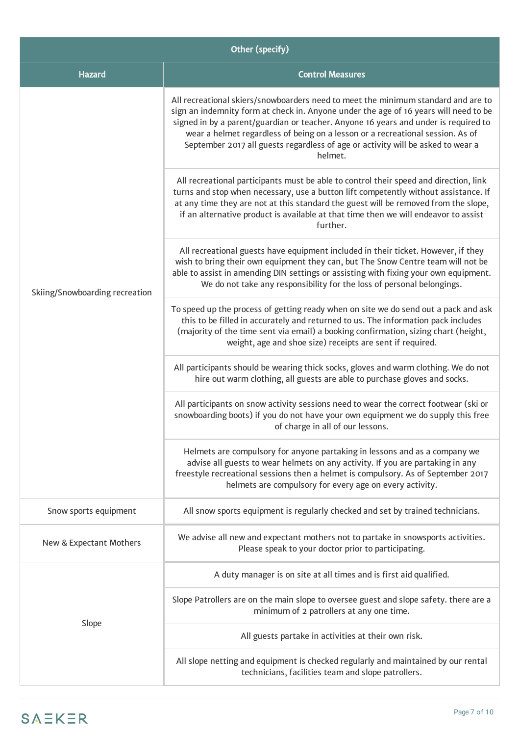| Other (specify)                |                                                                                                                                                                                                                                                                                                                                                                                                                                                  |  |  |
|--------------------------------|--------------------------------------------------------------------------------------------------------------------------------------------------------------------------------------------------------------------------------------------------------------------------------------------------------------------------------------------------------------------------------------------------------------------------------------------------|--|--|
| <b>Hazard</b>                  | <b>Control Measures</b>                                                                                                                                                                                                                                                                                                                                                                                                                          |  |  |
| Skiing/Snowboarding recreation | All recreational skiers/snowboarders need to meet the minimum standard and are to<br>sign an indemnity form at check in. Anyone under the age of 16 years will need to be<br>signed in by a parent/guardian or teacher. Anyone 16 years and under is required to<br>wear a helmet regardless of being on a lesson or a recreational session. As of<br>September 2017 all guests regardless of age or activity will be asked to wear a<br>helmet. |  |  |
|                                | All recreational participants must be able to control their speed and direction, link<br>turns and stop when necessary, use a button lift competently without assistance. If<br>at any time they are not at this standard the guest will be removed from the slope,<br>if an alternative product is available at that time then we will endeavor to assist<br>further.                                                                           |  |  |
|                                | All recreational guests have equipment included in their ticket. However, if they<br>wish to bring their own equipment they can, but The Snow Centre team will not be<br>able to assist in amending DIN settings or assisting with fixing your own equipment.<br>We do not take any responsibility for the loss of personal belongings.                                                                                                          |  |  |
|                                | To speed up the process of getting ready when on site we do send out a pack and ask<br>this to be filled in accurately and returned to us. The information pack includes<br>(majority of the time sent via email) a booking confirmation, sizing chart (height,<br>weight, age and shoe size) receipts are sent if required.                                                                                                                     |  |  |
|                                | All participants should be wearing thick socks, gloves and warm clothing. We do not<br>hire out warm clothing, all guests are able to purchase gloves and socks.                                                                                                                                                                                                                                                                                 |  |  |
|                                | All participants on snow activity sessions need to wear the correct footwear (ski or<br>snowboarding boots) if you do not have your own equipment we do supply this free<br>of charge in all of our lessons.                                                                                                                                                                                                                                     |  |  |
|                                | Helmets are compulsory for anyone partaking in lessons and as a company we<br>advise all guests to wear helmets on any activity. If you are partaking in any<br>freestyle recreational sessions then a helmet is compulsory. As of September 2017<br>helmets are compulsory for every age on every activity.                                                                                                                                     |  |  |
| Snow sports equipment          | All snow sports equipment is regularly checked and set by trained technicians.                                                                                                                                                                                                                                                                                                                                                                   |  |  |
| New & Expectant Mothers        | We advise all new and expectant mothers not to partake in snowsports activities.<br>Please speak to your doctor prior to participating.                                                                                                                                                                                                                                                                                                          |  |  |
|                                | A duty manager is on site at all times and is first aid qualified.                                                                                                                                                                                                                                                                                                                                                                               |  |  |
| Slope                          | Slope Patrollers are on the main slope to oversee guest and slope safety. there are a<br>minimum of 2 patrollers at any one time.                                                                                                                                                                                                                                                                                                                |  |  |
|                                | All guests partake in activities at their own risk.                                                                                                                                                                                                                                                                                                                                                                                              |  |  |
|                                | All slope netting and equipment is checked regularly and maintained by our rental<br>technicians, facilities team and slope patrollers.                                                                                                                                                                                                                                                                                                          |  |  |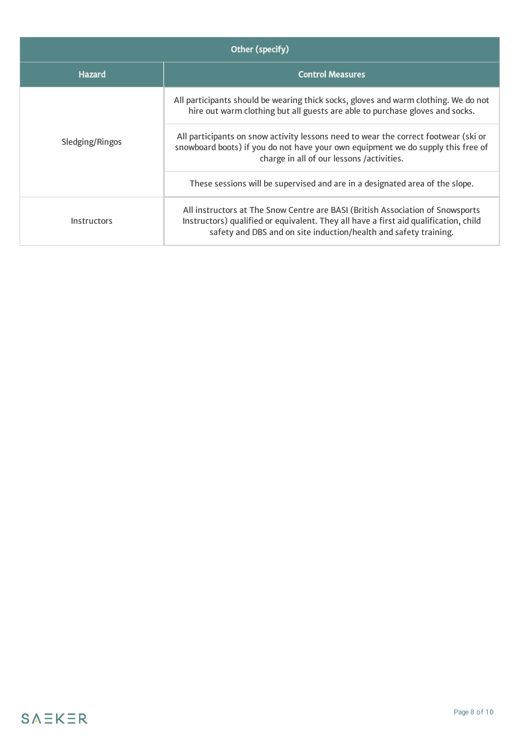| Other (specify)    |                                                                                                                                                                                                                                            |  |  |
|--------------------|--------------------------------------------------------------------------------------------------------------------------------------------------------------------------------------------------------------------------------------------|--|--|
| <b>Hazard</b>      | <b>Control Measures</b>                                                                                                                                                                                                                    |  |  |
| Sledging/Ringos    | All participants should be wearing thick socks, gloves and warm clothing. We do not<br>hire out warm clothing but all guests are able to purchase gloves and socks.                                                                        |  |  |
|                    | All participants on snow activity lessons need to wear the correct footwear (ski or<br>snowboard boots) if you do not have your own equipment we do supply this free of<br>charge in all of our lessons /activities.                       |  |  |
|                    | These sessions will be supervised and are in a designated area of the slope.                                                                                                                                                               |  |  |
| <b>Instructors</b> | All instructors at The Snow Centre are BASI (British Association of Snowsports<br>Instructors) qualified or equivalent. They all have a first aid qualification, child<br>safety and DBS and on site induction/health and safety training. |  |  |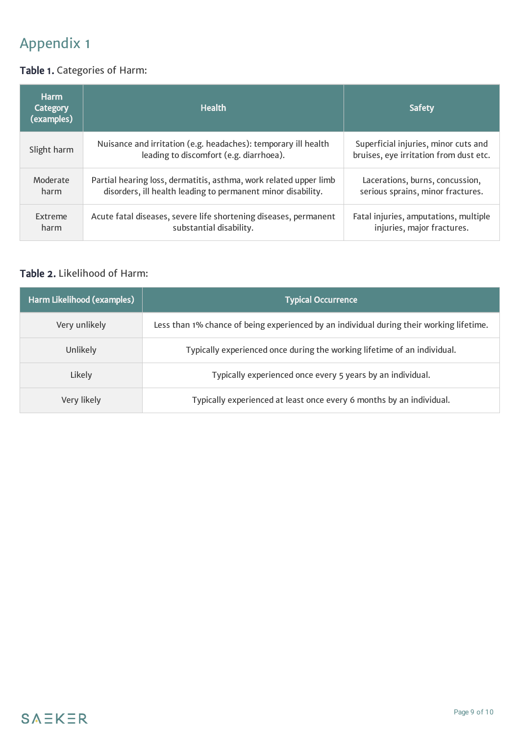# Appendix 1

### Table 1. Categories of Harm:

| <b>Harm</b><br><b>Category</b><br>(examples) | <b>Health</b>                                                                                             | <b>Safety</b>                                                                  |
|----------------------------------------------|-----------------------------------------------------------------------------------------------------------|--------------------------------------------------------------------------------|
| Slight harm                                  | Nuisance and irritation (e.g. headaches): temporary ill health<br>leading to discomfort (e.g. diarrhoea). | Superficial injuries, minor cuts and<br>bruises, eye irritation from dust etc. |
| Moderate                                     | Partial hearing loss, dermatitis, asthma, work related upper limb                                         | Lacerations, burns, concussion,                                                |
| harm                                         | disorders, ill health leading to permanent minor disability.                                              | serious sprains, minor fractures.                                              |
| <b>Extreme</b>                               | Acute fatal diseases, severe life shortening diseases, permanent                                          | Fatal injuries, amputations, multiple                                          |
| harm                                         | substantial disability.                                                                                   | injuries, major fractures.                                                     |

#### Table 2. Likelihood of Harm:

| Harm Likelihood (examples) | <b>Typical Occurrence</b>                                                                |
|----------------------------|------------------------------------------------------------------------------------------|
| Very unlikely              | Less than 1% chance of being experienced by an individual during their working lifetime. |
| Unlikely                   | Typically experienced once during the working lifetime of an individual.                 |
| Likely                     | Typically experienced once every 5 years by an individual.                               |
| Very likely                | Typically experienced at least once every 6 months by an individual.                     |